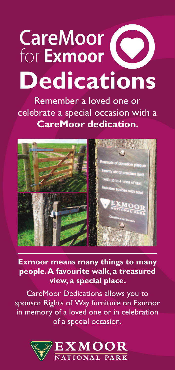## **CareMoor Dedications**

Remember a loved one or celebrate a special occasion with a **CareMoor dedication.**



**Exmoor means many things to many people.A favourite walk, a treasured view, a special place.**

CareMoor Dedications allows you to sponsor Rights of Way furniture on Exmoor in memory of a loved one or in celebration of a special occasion.